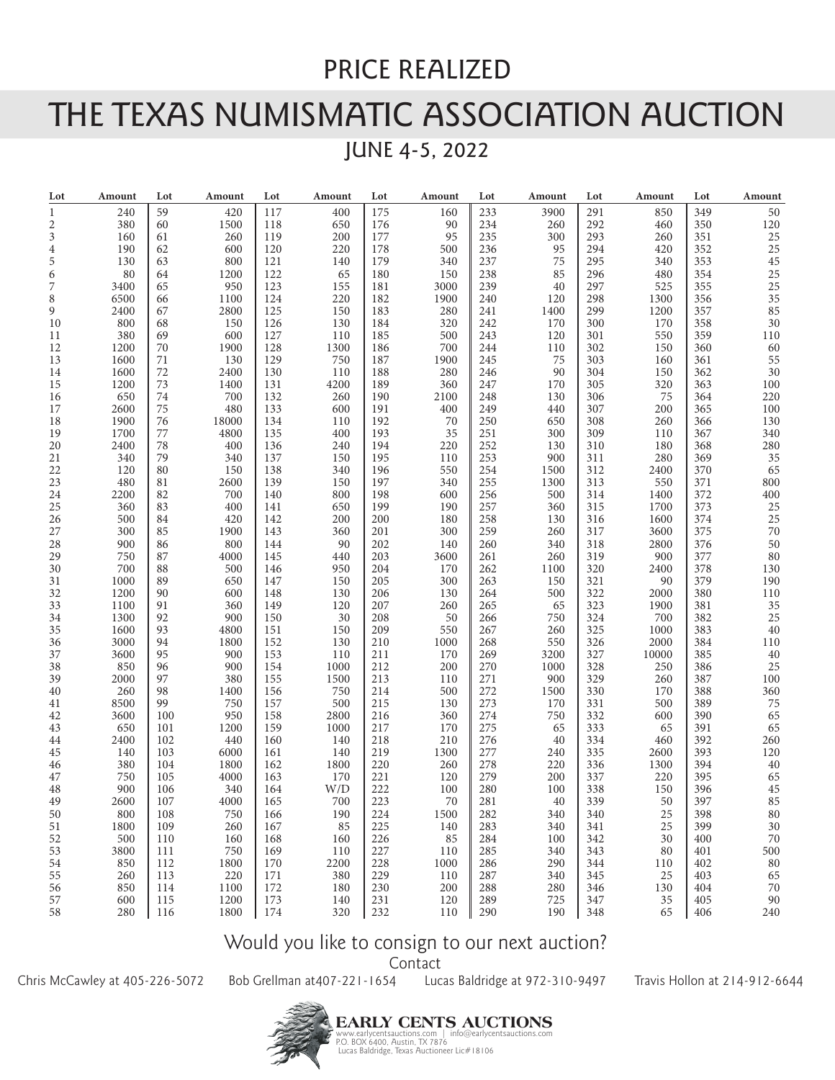## PRICE REALIZED

## THE TEXAS NUMISMATIC ASSOCIATION AUCTION

JUNE 4-5, 2022

| Lot            | Amount      | Lot      | Amount     | Lot        | Amount     | Lot        | Amount     | Lot        | Amount     | Lot        | Amount     | Lot        | Amount    |
|----------------|-------------|----------|------------|------------|------------|------------|------------|------------|------------|------------|------------|------------|-----------|
| 1              | 240         | 59       | 420        | 117        | 400        | 175        | 160        | 233        | 3900       | 291        | 850        | 349        | 50        |
| 2              | 380         | 60       | 1500       | 118        | 650        | 176        | 90         | 234        | 260        | 292        | 460        | 350        | 120       |
| 3              | 160         | 61       | 260        | 119        | 200        | 177        | 95         | 235        | 300        | 293        | 260        | 351        | 25        |
| $\overline{4}$ | 190         | 62       | 600        | 120        | 220        | 178        | 500        | 236        | 95         | 294        | 420        | 352        | 25        |
| 5              | 130         | 63       | 800        | 121        | 140        | 179        | 340        | 237        | 75         | 295        | 340        | 353        | 45        |
| 6              | 80          | 64       | 1200       | 122        | 65         | 180        | 150        | 238        | 85         | 296        | 480        | 354        | 25        |
| 7              | 3400        | 65       | 950        | 123        | 155        | 181        | 3000       | 239        | 40         | 297        | 525        | 355        | 25        |
| 8              | 6500        | 66       | 1100       | 124        | 220        | 182        | 1900       | 240        | 120        | 298        | 1300       | 356        | 35        |
| 9              | 2400        | 67       | 2800       | 125        | 150        | 183        | 280        | 241        | 1400       | 299        | 1200       | 357        | 85        |
| 10             | 800         | 68       | 150        | 126        | 130        | 184        | 320        | 242        | 170        | 300        | 170        | 358        | 30        |
| 11             | 380         | 69       | 600        | 127        | 110        | 185        | 500        | 243        | 120        | 301        | 550        | 359        | 110       |
| 12             | 1200        | 70       | 1900       | 128        | 1300       | 186        | 700        | 244        | 110        | 302        | 150        | 360        | 60        |
| 13             | 1600        | 71       | 130        | 129        | 750        | 187        | 1900       | 245        | 75         | 303        | 160        | 361        | 55        |
| 14             | 1600        | 72       | 2400       | 130        | 110        | 188        | 280        | 246        | 90         | 304        | 150        | 362        | 30        |
| 15             | 1200        | 73       | 1400       | 131        | 4200       | 189        | 360        | 247        | 170        | 305        | 320        | 363        | 100       |
| 16             | 650         | 74       | 700        | 132        | 260        | 190        | 2100       | 248        | 130        | 306        | 75         | 364        | 220       |
| 17             | 2600        | 75       | 480        | 133        | 600        | 191        | 400        | 249        | 440        | 307        | 200        | 365        | 100       |
| 18             | 1900        | 76       | 18000      | 134        | 110        | 192        | 70         | 250        | 650        | 308        | 260        | 366        | 130       |
|                |             |          |            |            |            |            |            |            |            |            |            |            |           |
| 19             | 1700        | 77<br>78 | 4800       | 135        | 400        | 193        | 35         | 251        | 300        | 309        | 110        | 367        | 340       |
| 20<br>21       | 2400<br>340 | 79       | 400<br>340 | 136<br>137 | 240<br>150 | 194<br>195 | 220<br>110 | 252<br>253 | 130<br>900 | 310<br>311 | 180<br>280 | 368<br>369 | 280<br>35 |
| 22             | 120         | 80       | 150        | 138        | 340        | 196        | 550        | 254        | 1500       | 312        | 2400       | 370        | 65        |
| 23             | 480         | 81       | 2600       | 139        | 150        | 197        | 340        | 255        | 1300       | 313        | 550        | 371        | 800       |
| 24             | 2200        | 82       | 700        | 140        | 800        | 198        | 600        | 256        | 500        | 314        | 1400       | 372        | 400       |
| 25             | 360         | 83       | 400        | 141        | 650        | 199        | 190        | 257        | 360        | 315        | 1700       | 373        | 25        |
| 26             | 500         | 84       | 420        | 142        | 200        | 200        | 180        | 258        | 130        | 316        | 1600       | 374        | 25        |
| 27             | 300         | 85       | 1900       | 143        | 360        | 201        | 300        | 259        | 260        | 317        | 3600       | 375        | 70        |
| 28             | 900         | 86       | 800        | 144        | 90         | 202        | 140        | 260        | 340        | 318        | 2800       | 376        | 50        |
| 29             | 750         | 87       | 4000       | 145        | 440        | 203        | 3600       | 261        | 260        | 319        | 900        | 377        | 80        |
| 30             | 700         | 88       | 500        | 146        | 950        | 204        | 170        | 262        | 1100       | 320        | 2400       | 378        | 130       |
| 31             | 1000        | 89       | 650        | 147        | 150        | 205        | 300        | 263        | 150        | 321        | 90         | 379        | 190       |
| 32             | 1200        | 90       | 600        | 148        | 130        | 206        | 130        | 264        | 500        | 322        | 2000       | 380        | 110       |
| 33             | 1100        | 91       | 360        | 149        | 120        | 207        | 260        | 265        | 65         | 323        | 1900       | 381        | 35        |
| 34             | 1300        | 92       | 900        | 150        | 30         | 208        | 50         | 266        | 750        | 324        | 700        | 382        | 25        |
| 35             | 1600        | 93       | 4800       | 151        | 150        | 209        | 550        | 267        | 260        | 325        | 1000       | 383        | 40        |
| 36             | 3000        | 94       | 1800       | 152        | 130        | 210        | 1000       | 268        | 550        | 326        | 2000       | 384        | 110       |
| 37             | 3600        | 95       | 900        | 153        | 110        | 211        | 170        | 269        | 3200       | 327        | 10000      | 385        | 40        |
| 38             | 850         | 96       | 900        | 154        | 1000       | 212        | 200        | 270        | 1000       | 328        | 250        | 386        | 25        |
| 39             | 2000        | 97       | 380        | 155        | 1500       | 213        | 110        | 271        | 900        | 329        | 260        | 387        | 100       |
| 40             | 260         | 98       | 1400       | 156        | 750        | 214        | 500        | 272        | 1500       | 330        | 170        | 388        | 360       |
| 41             | 8500        | 99       | 750        | 157        | 500        | 215        | 130        | 273        | 170        | 331        | 500        | 389        | 75        |
| 42             | 3600        | 100      | 950        | 158        | 2800       | 216        | 360        | 274        | 750        | 332        | 600        | 390        | 65        |
| 43             | 650         | 101      | 1200       | 159        | 1000       | 217        | 170        | 275        | 65         | 333        | 65         | 391        | 65        |
| 44             | 2400        | 102      | 440        | 160        | 140        | 218        | 210        | 276        | 40         | 334        | 460        | 392        | 260       |
| 45             | 140         | 103      | 6000       | 161        | 140        | 219        | 1300       | 277        | 240        | 335        | 2600       | 393        | 120       |
| 46             | 380         | 104      | 1800       | 162        | 1800       | 220        | 260        | 278        | 220        | 336        | 1300       | 394        | 40        |
| 47             | 750         | 105      | 4000       | 163        | 170        | 221        | 120        | 279        | 200        | 337        | 220        | 395        | 65        |
| 48             | 900         | 106      | 340        | 164        | W/D        | 222        | 100        | 280        | 100        | 338        | 150        | 396        | 45        |
| 49             | 2600        | 107      | 4000       | 165        | 700        | 223        | 70         | 281        | 40         | 339        | 50         | 397        | 85        |
| 50             | 800         | 108      | 750        | 166        | 190        | 224        | 1500       | 282        | 340        | 340        | 25         | 398        | 80        |
| $51\,$         | 1800        | 109      | 260        | 167        | 85         | 225        | 140        | 283        | 340        | 341        | 25         | 399        | $30\,$    |
| 52             | 500         | 110      | 160        | 168        | 160        | 226        | 85         | 284        | 100        | 342        | 30         | 400        | $70\,$    |
| 53             | 3800        | 111      | 750        | 169        | 110        | 227        | 110        | 285        | 340        | 343        | 80         | 401        | 500       |
| 54             | 850         | 112      | 1800       | 170        | 2200       | 228        | 1000       | 286        | 290        | 344        | 110        | 402        | $80\,$    |
| 55             | 260         | 113      | 220        | 171        | 380        | 229        | 110        | 287        | 340        | 345        | 25         | 403        | 65        |
| 56             | 850         | 114      | 1100       | 172        | 180        | 230        | 200        | 288        | 280        | 346        | 130        | 404        | 70        |
| 57             | 600         | 115      | 1200       | 173        | 140        | 231        | 120        | 289        | 725        | 347        | 35         | 405        | 90        |
| 58             | 280         | 116      | 1800       | 174        | 320        | 232        | 110        | 290        | 190        | 348        | 65         | 406        | 240       |

## Would you like to consign to our next auction?

Contact

Chris McCawley at 405-226-5072 Bob Grellman at407-221-1654 Lucas Baldridge at 972-310-9497 Travis Hollon at 214-912-6644